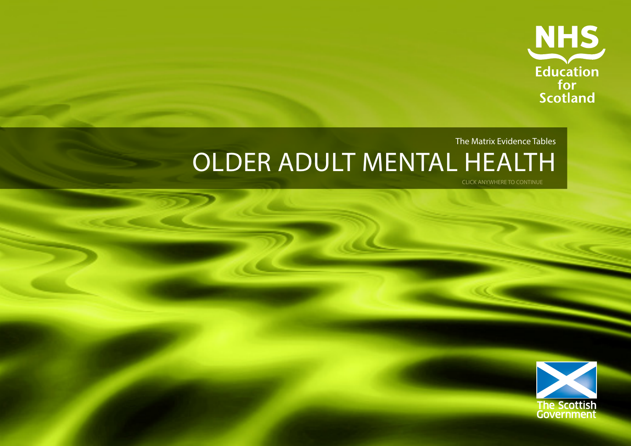

# The Matrix Evidence Tables OLDER ADULT MENTAL HEALTH

CLICK ANYWHERE TO CONTINUE

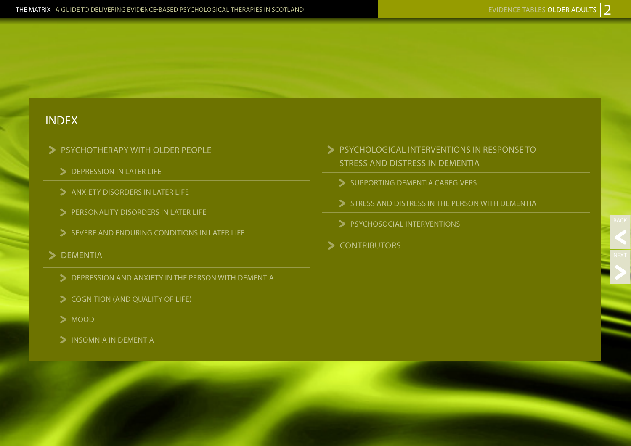### INDEX

- PSYCHOTHERAPY WITH OLDER PEOPLE
	- DEPRESSION IN LATER LIFE
	- $\blacktriangleright$  ANXIETY DISORDERS IN LATER LIFE
	- PERSONALITY DISORDERS IN LATER LIFE
	- $\triangleright$  SEVERE AND ENDURING CONDITIONS IN LATER LIFE
- 
- > DEMENTIA<br>
> DEPRESSION AND ANXIETY IN THE PERSON WITH DEMENTIA
	- SUITION (AND QUALITY OF LIFE)<br>
	SUITION
	-
	- **> INSOMNIA IN DEMENTIA**
- PSYCHOLOGICAL INTERVENTIONS IN RESPONSE TO STRESS AND DISTRESS IN DEMENTIA
	- SUPPORTING DEMENTIA CAREGIVERS
	- STRESS AND DISTRESS IN THE PERSON WITH DEMENTIA
	- > PSYCHOSOCIAL INTERVENTIONS
- > CONTRIBUTORS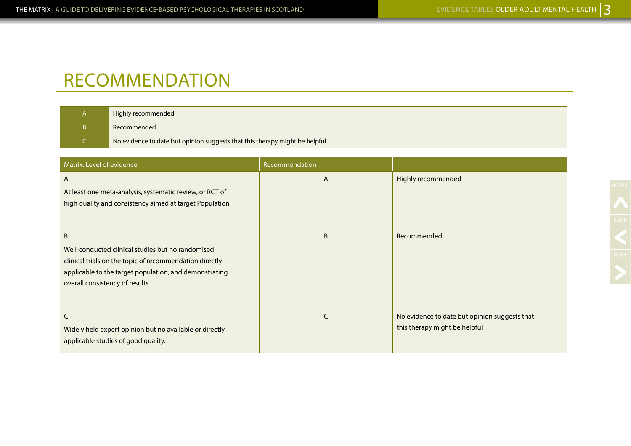## RECOMMENDATION

| Highly recommended                                                          |
|-----------------------------------------------------------------------------|
| Recommended                                                                 |
| No evidence to date but opinion suggests that this therapy might be helpful |

| Matrix: Level of evidence                                                                                                                                                                                     | Recommendation |                                                                                |
|---------------------------------------------------------------------------------------------------------------------------------------------------------------------------------------------------------------|----------------|--------------------------------------------------------------------------------|
| $\mathsf{A}$<br>At least one meta-analysis, systematic review, or RCT of<br>high quality and consistency aimed at target Population                                                                           | A              | Highly recommended                                                             |
| B<br>Well-conducted clinical studies but no randomised<br>clinical trials on the topic of recommendation directly<br>applicable to the target population, and demonstrating<br>overall consistency of results | B              | Recommended                                                                    |
| C<br>Widely held expert opinion but no available or directly<br>applicable studies of good quality.                                                                                                           | C              | No evidence to date but opinion suggests that<br>this therapy might be helpful |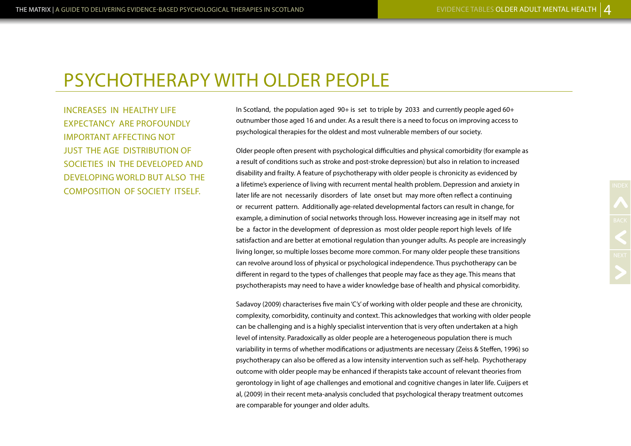INCREASES IN HEALTHY LIFE EXPECTANCY ARE PROFOUNDLY IMPORTANT AFFECTING NOT JUST THE AGE DISTRIBUTION OF SOCIETIES IN THE DEVELOPED AND DEVELOPING WORLD BUT ALSO THE COMPOSITION OF SOCIETY ITSELF.

In Scotland, the population aged 90+ is set to triple by 2033 and currently people aged 60+ outnumber those aged 16 and under. As a result there is a need to focus on improving access to psychological therapies for the oldest and most vulnerable members of our society.

Older people often present with psychological difficulties and physical comorbidity (for example as a result of conditions such as stroke and post-stroke depression) but also in relation to increased disability and frailty. A feature of psychotherapy with older people is chronicity as evidenced by a lifetime's experience of living with recurrent mental health problem. Depression and anxiety in later life are not necessarily disorders of late onset but may more often reflect a continuing or recurrent pattern. Additionally age-related developmental factors can result in change, for example, a diminution of social networks through loss. However increasing age in itself may not be a factor in the development of depression as most older people report high levels of life satisfaction and are better at emotional regulation than younger adults. As people are increasingly living longer, so multiple losses become more common. For many older people these transitions can revolve around loss of physical or psychological independence. Thus psychotherapy can be different in regard to the types of challenges that people may face as they age. This means that psychotherapists may need to have a wider knowledge base of health and physical comorbidity.

Sadavoy (2009) characterises five main 'C's' of working with older people and these are chronicity, complexity, comorbidity, continuity and context. This acknowledges that working with older people can be challenging and is a highly specialist intervention that is very often undertaken at a high level of intensity. Paradoxically as older people are a heterogeneous population there is much variability in terms of whether modifications or adjustments are necessary (Zeiss & Steffen, 1996) so psychotherapy can also be offered as a low intensity intervention such as self-help. Psychotherapy outcome with older people may be enhanced if therapists take account of relevant theories from gerontology in light of age challenges and emotional and cognitive changes in later life. Cuijpers et al, (2009) in their recent meta-analysis concluded that psychological therapy treatment outcomes are comparable for younger and older adults.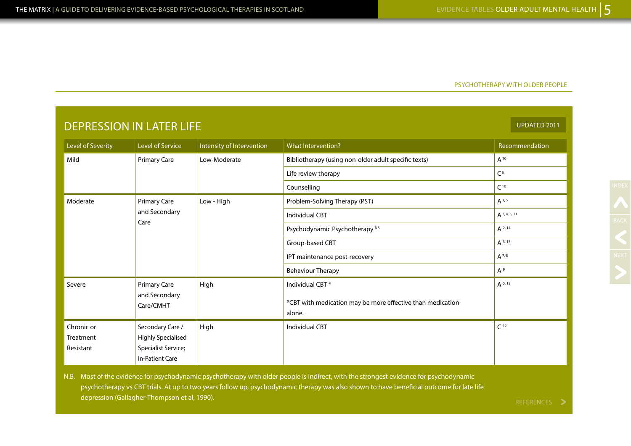|                                      | <b>UPDATED 2011</b><br><b>DEPRESSION IN LATER LIFE</b>                                         |                           |                                                                      |                 |  |
|--------------------------------------|------------------------------------------------------------------------------------------------|---------------------------|----------------------------------------------------------------------|-----------------|--|
| Level of Severity                    | Level of Service                                                                               | Intensity of Intervention | What Intervention?                                                   | Recommendation  |  |
| Mild                                 | <b>Primary Care</b>                                                                            | Low-Moderate              | Bibliotherapy (using non-older adult specific texts)                 | $A^{10}$        |  |
|                                      |                                                                                                |                           | Life review therapy                                                  | C <sup>6</sup>  |  |
|                                      |                                                                                                |                           | Counselling                                                          | C <sup>10</sup> |  |
| Moderate                             | <b>Primary Care</b>                                                                            | Low - High                | Problem-Solving Therapy (PST)                                        | $A^{1, 5}$      |  |
|                                      | and Secondary<br>Care                                                                          |                           | <b>Individual CBT</b>                                                | $A^{2,4,5,11}$  |  |
|                                      |                                                                                                |                           | Psychodynamic Psychotherapy <sup>NB</sup>                            | $A^{2,14}$      |  |
|                                      |                                                                                                |                           | Group-based CBT                                                      | $A^{3,13}$      |  |
|                                      |                                                                                                |                           | IPT maintenance post-recovery                                        | $A^{7,8}$       |  |
|                                      |                                                                                                |                           | <b>Behaviour Therapy</b>                                             | $A^9$           |  |
| Severe                               | Primary Care                                                                                   | High                      | Individual CBT*                                                      | $A^{5,12}$      |  |
|                                      | and Secondary<br>Care/CMHT                                                                     |                           | *CBT with medication may be more effective than medication<br>alone. |                 |  |
| Chronic or<br>Treatment<br>Resistant | Secondary Care /<br><b>Highly Specialised</b><br>Specialist Service;<br><b>In-Patient Care</b> | High                      | <b>Individual CBT</b>                                                | C <sup>12</sup> |  |

N.B. Most of the evidence for psychodynamic psychotherapy with older people is indirect, with the strongest evidence for psychodynamic psychotherapy vs CBT trials. At up to two years follow up, psychodynamic therapy was also shown to have beneficial outcome for late life depression (Gallagher-Thompson et al, 1990).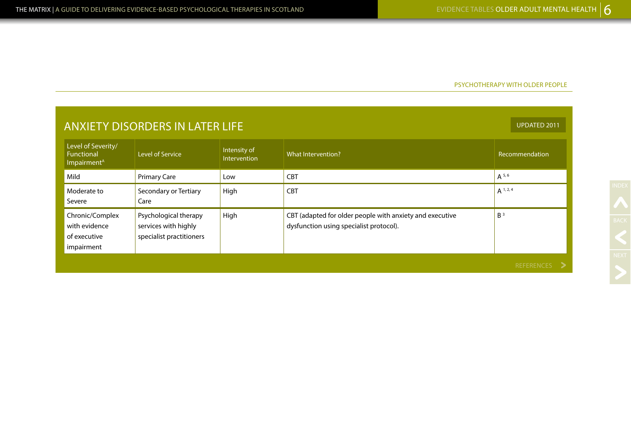| <b>ANXIETY DISORDERS IN LATER LIFE</b>                             |                                                                           |                              |                                                                                                     |                   |
|--------------------------------------------------------------------|---------------------------------------------------------------------------|------------------------------|-----------------------------------------------------------------------------------------------------|-------------------|
| Level of Severity/<br><b>Functional</b><br>Impairment <sup>A</sup> | Level of Service                                                          | Intensity of<br>Intervention | What Intervention?                                                                                  | Recommendation    |
| Mild                                                               | <b>Primary Care</b>                                                       | Low                          | <b>CBT</b>                                                                                          | $A^{5,6}$         |
| Moderate to<br>Severe                                              | Secondary or Tertiary<br>Care                                             | High                         | <b>CBT</b>                                                                                          | $A^{1,2,4}$       |
| Chronic/Complex<br>with evidence<br>of executive<br>impairment     | Psychological therapy<br>services with highly<br>specialist practitioners | High                         | CBT (adapted for older people with anxiety and executive<br>dysfunction using specialist protocol). | B <sup>3</sup>    |
|                                                                    |                                                                           |                              |                                                                                                     | <b>REFERENCES</b> |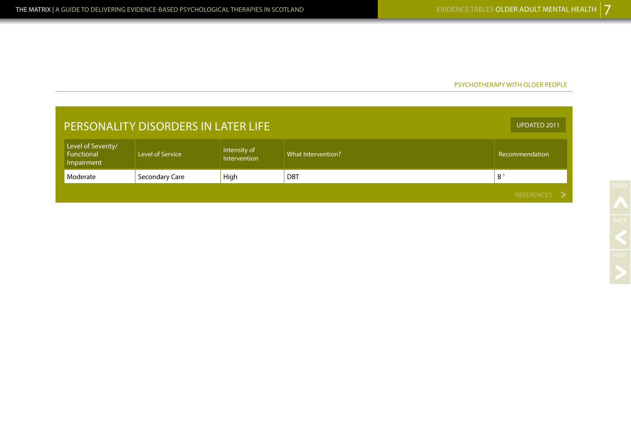| PERSONALITY DISORDERS IN LATER LIFE                   |                                                                                                 |  |  |              |
|-------------------------------------------------------|-------------------------------------------------------------------------------------------------|--|--|--------------|
| Level of Severity/<br>Functional<br>Impairment        | Intensity of<br><b>Level of Service</b><br>What Intervention?<br>Recommendation<br>Intervention |  |  |              |
| B<br>Secondary Care<br>High<br>Moderate<br><b>DBT</b> |                                                                                                 |  |  |              |
|                                                       |                                                                                                 |  |  | REFERENCES > |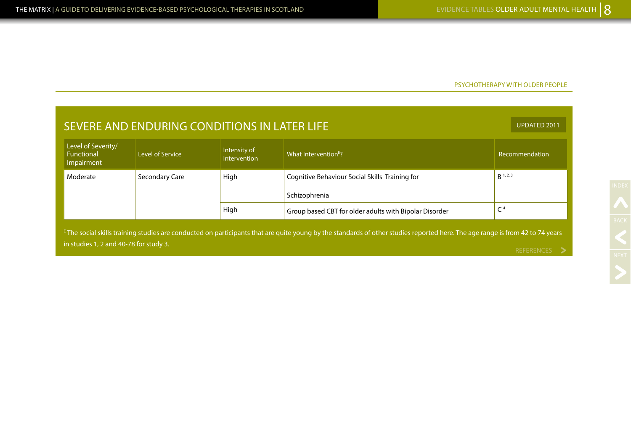| SEVERE AND ENDURING CONDITIONS IN LATER LIFE                                                                                                                                             |                |      |                                                        |                   |  |
|------------------------------------------------------------------------------------------------------------------------------------------------------------------------------------------|----------------|------|--------------------------------------------------------|-------------------|--|
| Level of Severity/<br>Intensity of<br>What Intervention <sup>E</sup> ?<br><b>Functional</b><br>Level of Service<br>Recommendation<br><b>Intervention</b><br>Impairment                   |                |      |                                                        |                   |  |
| Moderate                                                                                                                                                                                 | Secondary Care | High | Cognitive Behaviour Social Skills Training for         | $R^{1,2,3}$       |  |
|                                                                                                                                                                                          |                |      | Schizophrenia                                          |                   |  |
|                                                                                                                                                                                          |                | High | Group based CBT for older adults with Bipolar Disorder | C <sup>4</sup>    |  |
| <sup>E</sup> The social skills training studies are conducted on participants that are quite young by the standards of other studies reported here. The age range is from 42 to 74 years |                |      |                                                        |                   |  |
| in studies 1, 2 and 40-78 for study 3.                                                                                                                                                   |                |      |                                                        | <b>REFERENCES</b> |  |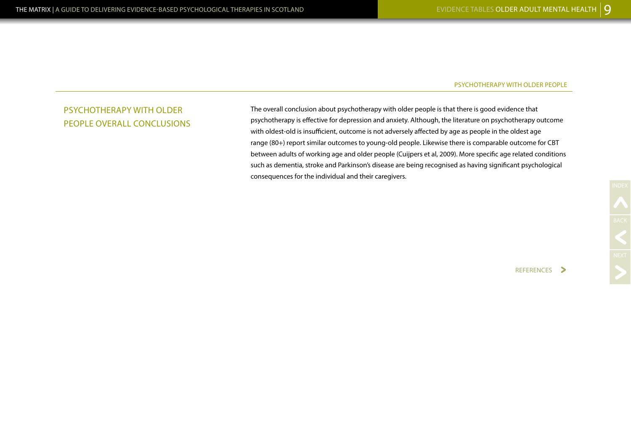### PSYCHOTHERAPY WITH OLDER PEOPLE OVERALL CONCLUSIONS

The overall conclusion about psychotherapy with older people is that there is good evidence that psychotherapy is effective for depression and anxiety. Although, the literature on psychotherapy outcome with oldest-old is insufficient, outcome is not adversely affected by age as people in the oldest age range (80+) report similar outcomes to young-old people. Likewise there is comparable outcome for CBT between adults of working age and older people (Cuijpers et al, 2009). More specific age related conditions such as dementia, stroke and Parkinson's disease are being recognised as having significant psychological consequences for the individual and their caregivers.

REFERENCES >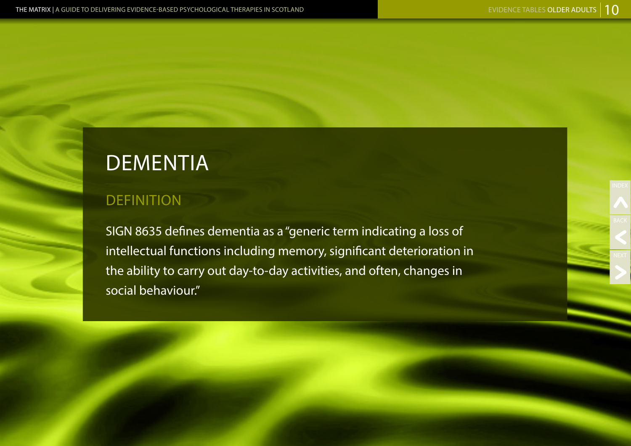NEXT

# **DEMENTIA**

### **DEFINITION**

SIGN 8635 defines dementia as a "generic term indicating a loss of intellectual functions including memory, significant deterioration in the ability to carry out day-to-day activities, and often, changes in social behaviour."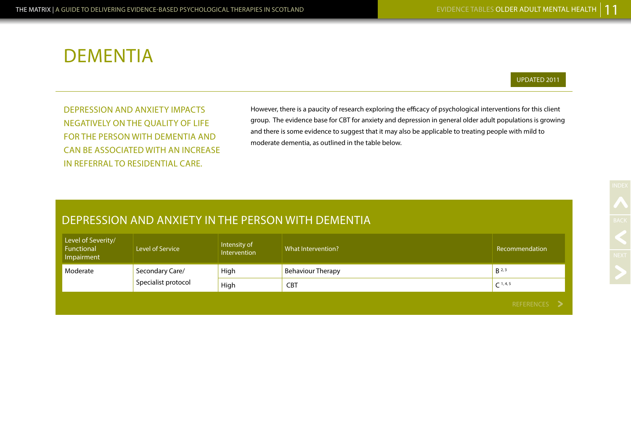# DEMENTIA

#### UPDATED 2011

DEPRESSION AND ANXIETY IMPACTS NEGATIVELY ON THE QUALITY OF LIFE FOR THE PERSON WITH DEMENTIA AND CAN BE ASSOCIATED WITH AN INCREASE IN REFERRAL TO RESIDENTIAL CARE.

However, there is a paucity of research exploring the efficacy of psychological interventions for this client group. The evidence base for CBT for anxiety and depression in general older adult populations is growing and there is some evidence to suggest that it may also be applicable to treating people with mild to moderate dementia, as outlined in the table below.

### DEPRESSION AND ANXIETY IN THE PERSON WITH DEMENTIA

| Level of Severity/<br>Functional<br>Impairment | Level of Service    | Intensity of<br>Intervention | What Intervention?       | Recommendation |
|------------------------------------------------|---------------------|------------------------------|--------------------------|----------------|
| Moderate                                       | Secondary Care/     | High                         | <b>Behaviour Therapy</b> | $B^{2,3}$      |
|                                                | Specialist protocol | High                         | <b>CBT</b>               | $C^{1,4,5}$    |
|                                                |                     |                              |                          | REFERENCES >   |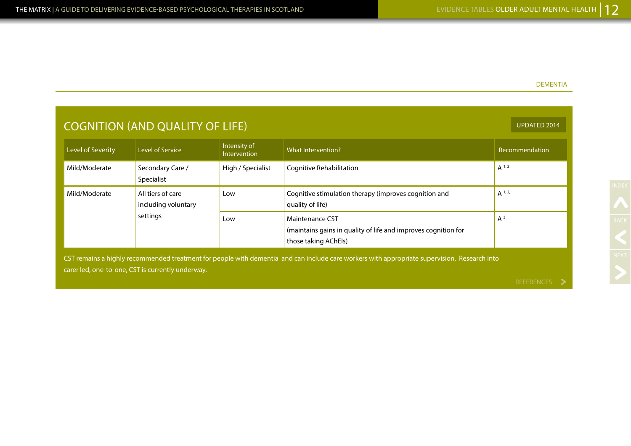### DEMENTIA

| <b>COGNITION (AND QUALITY OF LIFE)</b>                                                                                                                                                            |                                                      |                              |                                                                                                           |                |  |
|---------------------------------------------------------------------------------------------------------------------------------------------------------------------------------------------------|------------------------------------------------------|------------------------------|-----------------------------------------------------------------------------------------------------------|----------------|--|
| Level of Severity                                                                                                                                                                                 | Level of Service                                     | Intensity of<br>Intervention | What Intervention?                                                                                        | Recommendation |  |
| Mild/Moderate                                                                                                                                                                                     | Secondary Care /<br>Specialist                       | High / Specialist            | Cognitive Rehabilitation                                                                                  | $A^{1,2}$      |  |
| Mild/Moderate                                                                                                                                                                                     | All tiers of care<br>including voluntary<br>settings | Low                          | Cognitive stimulation therapy (improves cognition and<br>quality of life)                                 | $A^{1,2}$      |  |
|                                                                                                                                                                                                   |                                                      | Low                          | Maintenance CST<br>(maintains gains in quality of life and improves cognition for<br>those taking AChEls) | $A^3$          |  |
| CST remains a highly recommended treatment for people with dementia and can include care workers with appropriate supervision. Research into<br>carer led, one-to-one, CST is currently underway. |                                                      |                              |                                                                                                           |                |  |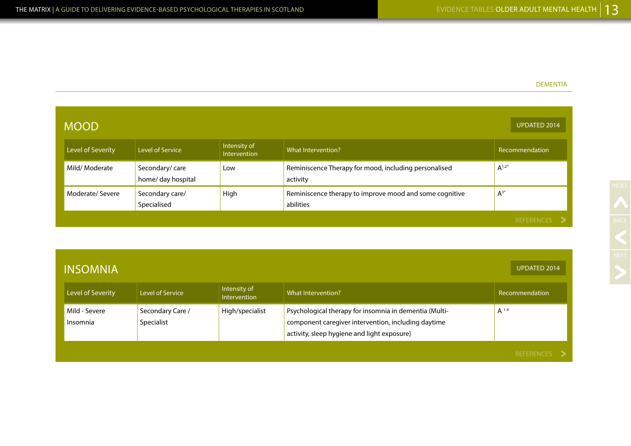### DEMENTIA

| <b>MOOD</b>       |                                      |                              |                                                                      | <b>UPDATED 2014</b> |
|-------------------|--------------------------------------|------------------------------|----------------------------------------------------------------------|---------------------|
| Level of Severity | Level of Service                     | Intensity of<br>Intervention | What Intervention?                                                   | Recommendation      |
| Mild/Moderate     | Secondary/care<br>home/ day hospital | Low                          | Reminiscence Therapy for mood, including personalised<br>activity    | $A^{1,2*}$          |
| Moderate/Severe   | Secondary care/<br>Specialised       | High                         | Reminiscence therapy to improve mood and some cognitive<br>abilities | $A^{3*}$            |
|                   |                                      |                              |                                                                      | REFERENCES >        |

| <b>INSOMNIA</b>           |                                |                              |                                                                                                                                                              | <b>UPDATED 2014</b> |
|---------------------------|--------------------------------|------------------------------|--------------------------------------------------------------------------------------------------------------------------------------------------------------|---------------------|
| Level of Severity         | Level of Service               | Intensity of<br>Intervention | What Intervention?                                                                                                                                           | Recommendation      |
| Mild - Severe<br>Insomnia | Secondary Care /<br>Specialist | High/specialist              | Psychological therapy for insomnia in dementia (Multi-<br>component caregiver intervention, including daytime<br>activity, sleep hygiene and light exposure) | $A^{1-4}$           |
|                           |                                |                              |                                                                                                                                                              | <b>DEEEDEMAEC</b>   |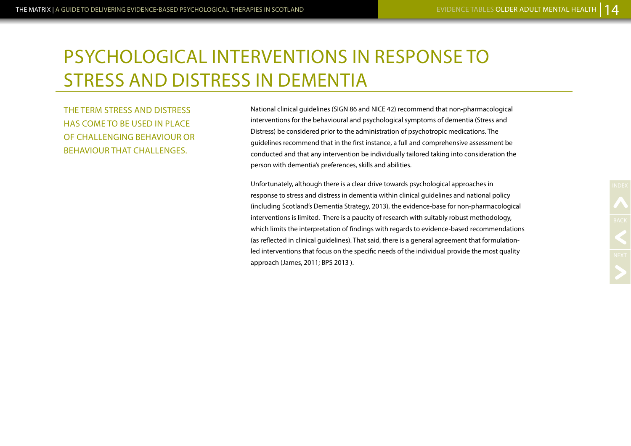# PSYCHOLOGICAL INTERVENTIONS IN RESPONSE TO STRESS AND DISTRESS IN DEMENTIA

THE TERM STRESS AND DISTRESS HAS COME TO BE USED IN PLACE OF CHALLENGING BEHAVIOUR OR BEHAVIOUR THAT CHALLENGES.

National clinical guidelines (SIGN 86 and NICE 42) recommend that non-pharmacological interventions for the behavioural and psychological symptoms of dementia (Stress and Distress) be considered prior to the administration of psychotropic medications. The guidelines recommend that in the first instance, a full and comprehensive assessment be conducted and that any intervention be individually tailored taking into consideration the person with dementia's preferences, skills and abilities.

Unfortunately, although there is a clear drive towards psychological approaches in response to stress and distress in dementia within clinical guidelines and national policy (including Scotland's Dementia Strategy, 2013), the evidence-base for non-pharmacological interventions is limited. There is a paucity of research with suitably robust methodology, which limits the interpretation of findings with regards to evidence-based recommendations (as reflected in clinical guidelines). That said, there is a general agreement that formulationled interventions that focus on the specific needs of the individual provide the most quality approach (James, 2011; BPS 2013 ).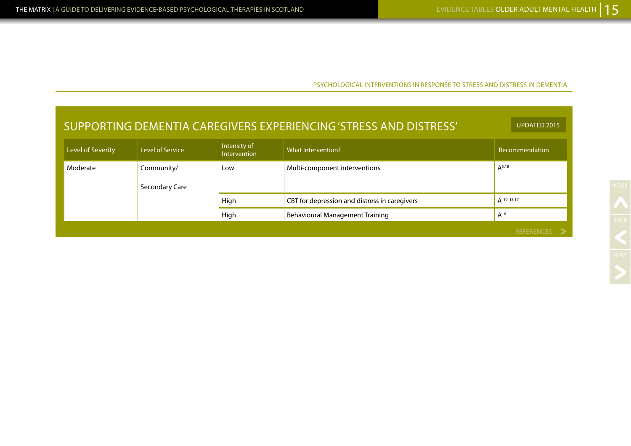PSYCHOLOGICAL INTERVENTIONS IN RESPONSE TO STRESS AND DISTRESS IN DEMENTIA

| SUPPORTING DEMENTIA CAREGIVERS EXPERIENCING 'STRESS AND DISTRESS' |                              |                              |                                               | <b>UPDATED 2015</b> |
|-------------------------------------------------------------------|------------------------------|------------------------------|-----------------------------------------------|---------------------|
| Level of Severity                                                 | Level of Service             | Intensity of<br>Intervention | What Intervention?                            | Recommendation      |
| Moderate                                                          | Community/<br>Secondary Care | Low                          | Multi-component interventions                 | $A^{5,18}$          |
|                                                                   |                              | High                         | CBT for depression and distress in caregivers | A 10, 15, 17        |
|                                                                   |                              | High                         | <b>Behavioural Management Training</b>        | $A^{16}$            |
|                                                                   |                              |                              |                                               | REFERENCES          |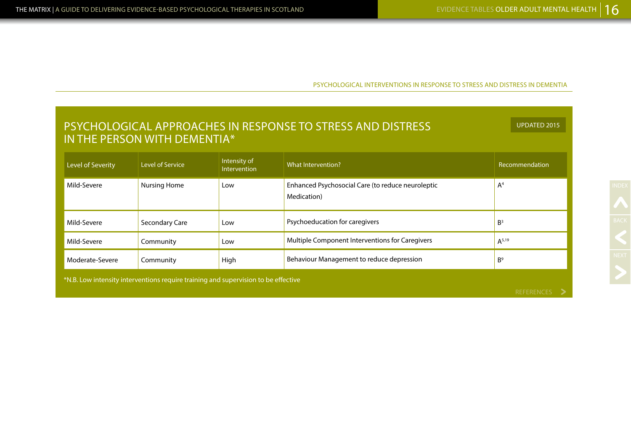PSYCHOLOGICAL INTERVENTIONS IN RESPONSE TO STRESS AND DISTRESS IN DEMENTIA

| PSYCHOLOGICAL APPROACHES IN RESPONSE TO STRESS AND DISTRESS<br><b>UPDATED 2015</b><br>IN THE PERSON WITH DEMENTIA* |                         |                              |                                                                  |                |  |
|--------------------------------------------------------------------------------------------------------------------|-------------------------|------------------------------|------------------------------------------------------------------|----------------|--|
| Level of Severity                                                                                                  | <b>Level of Service</b> | Intensity of<br>Intervention | What Intervention?                                               | Recommendation |  |
| Mild-Severe                                                                                                        | <b>Nursing Home</b>     | Low                          | Enhanced Psychosocial Care (to reduce neuroleptic<br>Medication) | A <sup>4</sup> |  |
| Mild-Severe                                                                                                        | Secondary Care          | Low                          | Psychoeducation for caregivers                                   | B <sup>3</sup> |  |
| Mild-Severe                                                                                                        | Community               | Low                          | Multiple Component Interventions for Caregivers                  | $A^{5,19}$     |  |
| Behaviour Management to reduce depression<br>B <sup>9</sup><br>Moderate-Severe<br>Community<br>High                |                         |                              |                                                                  |                |  |
| *N.B. Low intensity interventions require training and supervision to be effective<br>D                            |                         |                              |                                                                  |                |  |

NEXT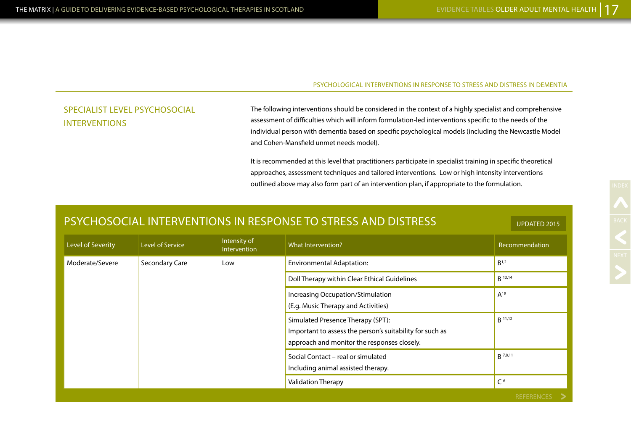UPDATED 2015

#### PSYCHOLOGICAL INTERVENTIONS IN RESPONSE TO STRESS AND DISTRESS IN DEMENTIA

### SPECIALIST LEVEL PSYCHOSOCIAL INTERVENTIONS

The following interventions should be considered in the context of a highly specialist and comprehensive assessment of difficulties which will inform formulation-led interventions specific to the needs of the individual person with dementia based on specific psychological models (including the Newcastle Model and Cohen-Mansfield unmet needs model).

It is recommended at this level that practitioners participate in specialist training in specific theoretical approaches, assessment techniques and tailored interventions. Low or high intensity interventions outlined above may also form part of an intervention plan, if appropriate to the formulation.

|  |  |  | PSYCHOSOCIAL INTERVENTIONS IN RESPONSE TO STRESS AND DISTRESS |
|--|--|--|---------------------------------------------------------------|
|--|--|--|---------------------------------------------------------------|

| Level of Severity | Level of Service                                                                                                                                                                                                                                                                                                                                     | Intensity of<br>Intervention | What Intervention?               | Recommendation   |
|-------------------|------------------------------------------------------------------------------------------------------------------------------------------------------------------------------------------------------------------------------------------------------------------------------------------------------------------------------------------------------|------------------------------|----------------------------------|------------------|
| Moderate/Severe   | Secondary Care                                                                                                                                                                                                                                                                                                                                       | Low                          | <b>Environmental Adaptation:</b> | B <sup>1,2</sup> |
|                   | Doll Therapy within Clear Ethical Guidelines<br>Increasing Occupation/Stimulation<br>(E.g. Music Therapy and Activities)<br>Simulated Presence Therapy (SPT):<br>Important to assess the person's suitability for such as<br>approach and monitor the responses closely.<br>Social Contact - real or simulated<br>Including animal assisted therapy. |                              | <b>B</b> 13,14                   |                  |
|                   |                                                                                                                                                                                                                                                                                                                                                      | $A^{19}$                     |                                  |                  |
|                   |                                                                                                                                                                                                                                                                                                                                                      | $B$ 11,12                    |                                  |                  |
|                   |                                                                                                                                                                                                                                                                                                                                                      |                              |                                  | <b>B</b> 7,8,11  |
|                   |                                                                                                                                                                                                                                                                                                                                                      |                              | <b>Validation Therapy</b>        | C <sup>6</sup>   |
|                   |                                                                                                                                                                                                                                                                                                                                                      |                              |                                  | REFERENCES >     |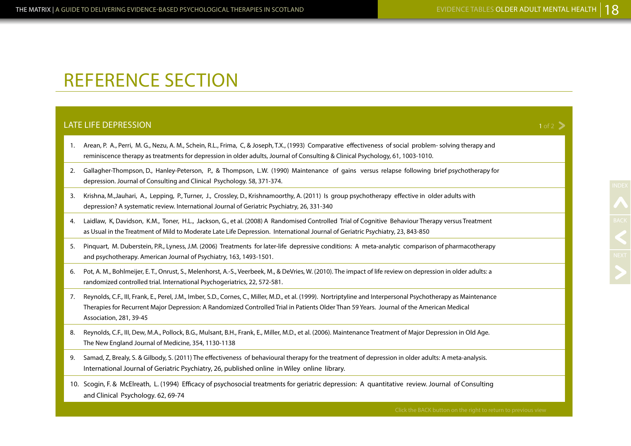1 of  $2\overline{)}$ 

# REFERENCE SECTION

### LATE LIFE DEPRESSION

- 1. Arean, P. A., Perri, M. G., Nezu, A. M., Schein, R.L., Frima, C, & Joseph, T.X., (1993) Comparative effectiveness of social problem- solving therapy and reminiscence therapy as treatments for depression in older adults, Journal of Consulting & Clinical Psychology, 61, 1003-1010.
- 2. Gallagher-Thompson, D., Hanley-Peterson, P., & Thompson, L.W. (1990) Maintenance of gains versus relapse following brief psychotherapy for depression. Journal of Consulting and Clinical Psychology. 58, 371-374.
- 3. Krishna, M.,Jauhari, A., Lepping, P., Turner, J., Crossley, D., Krishnamoorthy, A. (2011) Is group psychotherapy effective in older adults with depression? A systematic review. International Journal of Geriatric Psychiatry, 26, 331-340
- 4. Laidlaw, K, Davidson, K.M., Toner, H.L., Jackson, G., et al. (2008) A Randomised Controlled Trial of Cognitive Behaviour Therapy versus Treatment as Usual in the Treatment of Mild to Moderate Late Life Depression. International Journal of Geriatric Psychiatry, 23, 843-850
- 5. Pinquart, M. Duberstein, P.R., Lyness, J.M. (2006) Treatments for later-life depressive conditions: A meta-analytic comparison of pharmacotherapy and psychotherapy. American Journal of Psychiatry, 163, 1493-1501.
- 6. Pot, A. M., Bohlmeijer, E. T., Onrust, S., Melenhorst, A.-S., Veerbeek, M., & DeVries, W. (2010). The impact of life review on depression in older adults: a randomized controlled trial. International Psychogeriatrics, 22, 572-581.
- 7. Reynolds, C.F., III, Frank, E., Perel, J.M., Imber, S.D., Cornes, C., Miller, M.D., et al. (1999). Nortriptyline and Interpersonal Psychotherapy as Maintenance Therapies for Recurrent Major Depression: A Randomized Controlled Trial in Patients Older Than 59 Years. Journal of the American Medical Association, 281, 39-45
- 8. Reynolds, C.F., III, Dew, M.A., Pollock, B.G., Mulsant, B.H., Frank, E., Miller, M.D., et al. (2006). Maintenance Treatment of Major Depression in Old Age. The New England Journal of Medicine, 354, 1130-1138
- 9. Samad, Z, Brealy, S. & Gilbody, S. (2011) The effectiveness of behavioural therapy for the treatment of depression in older adults: A meta-analysis. International Journal of Geriatric Psychiatry, 26, published online in Wiley online library.
- 10. Scogin, F. & McElreath, L. (1994) Efficacy of psychosocial treatments for geriatric depression: A quantitative review. Journal of Consulting and Clinical Psychology. 62, 69-74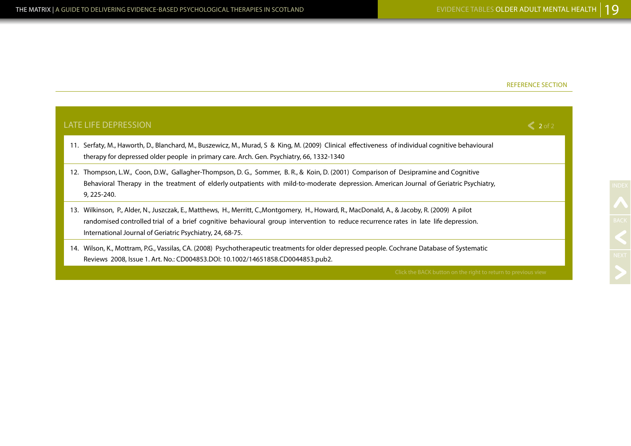| <b>LATE LIFE DEPRESSION</b>                                                                                                                                                                                                                                                                                                                         | $\leq 2$ of 2 |
|-----------------------------------------------------------------------------------------------------------------------------------------------------------------------------------------------------------------------------------------------------------------------------------------------------------------------------------------------------|---------------|
| 11. Serfaty, M., Haworth, D., Blanchard, M., Buszewicz, M., Murad, S & King, M. (2009) Clinical effectiveness of individual cognitive behavioural<br>therapy for depressed older people in primary care. Arch. Gen. Psychiatry, 66, 1332-1340                                                                                                       |               |
| 12. Thompson, L.W., Coon, D.W., Gallagher-Thompson, D.G., Sommer, B.R., & Koin, D. (2001) Comparison of Desipramine and Cognitive<br>Behavioral Therapy in the treatment of elderly outpatients with mild-to-moderate depression. American Journal of Geriatric Psychiatry,<br>9, 225-240.                                                          |               |
| Wilkinson, P., Alder, N., Juszczak, E., Matthews, H., Merritt, C.,Montgomery, H., Howard, R., MacDonald, A., & Jacoby, R. (2009) A pilot<br>13.<br>randomised controlled trial of a brief cognitive behavioural group intervention to reduce recurrence rates in late life depression.<br>International Journal of Geriatric Psychiatry, 24, 68-75. |               |
| 14. Wilson, K., Mottram, P.G., Vassilas, CA. (2008) Psychotherapeutic treatments for older depressed people. Cochrane Database of Systematic<br>Reviews 2008, Issue 1. Art. No.: CD004853.DOI: 10.1002/14651858.CD0044853.pub2.                                                                                                                     |               |
| Click the BACK button on the right to return to previous view                                                                                                                                                                                                                                                                                       |               |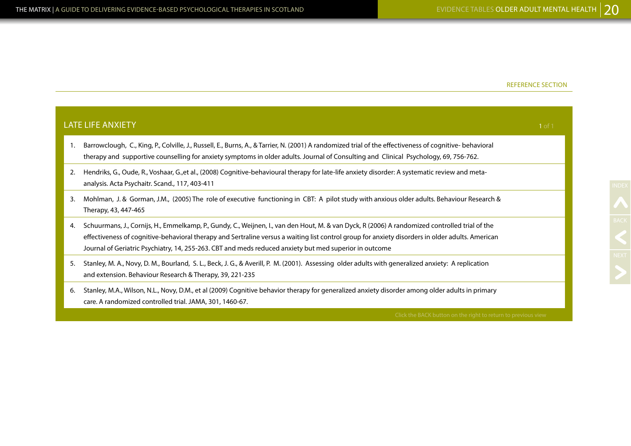|    | <b>LATE LIFE ANXIETY</b>                                                                                                                                                                                                                                                                                                                                                                                     | $1$ of $1$ |
|----|--------------------------------------------------------------------------------------------------------------------------------------------------------------------------------------------------------------------------------------------------------------------------------------------------------------------------------------------------------------------------------------------------------------|------------|
| 1. | Barrowclough, C., King, P., Colville, J., Russell, E., Burns, A., & Tarrier, N. (2001) A randomized trial of the effectiveness of cognitive-behavioral<br>therapy and supportive counselling for anxiety symptoms in older adults. Journal of Consulting and Clinical Psychology, 69, 756-762.                                                                                                               |            |
| 2. | Hendriks, G., Oude, R., Voshaar, G.,et al., (2008) Cognitive-behavioural therapy for late-life anxiety disorder: A systematic review and meta-<br>analysis. Acta Psychaitr. Scand., 117, 403-411                                                                                                                                                                                                             |            |
| 3. | Mohlman, J. & Gorman, J.M., (2005) The role of executive functioning in CBT: A pilot study with anxious older adults. Behaviour Research &<br>Therapy, 43, 447-465                                                                                                                                                                                                                                           |            |
| 4. | Schuurmans, J., Cornijs, H., Emmelkamp, P., Gundy, C., Weijnen, I., van den Hout, M. & van Dyck, R (2006) A randomized controlled trial of the<br>effectiveness of cognitive-behavioral therapy and Sertraline versus a waiting list control group for anxiety disorders in older adults. American<br>Journal of Geriatric Psychiatry, 14, 255-263. CBT and meds reduced anxiety but med superior in outcome |            |
| 5. | Stanley, M. A., Novy, D. M., Bourland, S. L., Beck, J. G., & Averill, P. M. (2001). Assessing older adults with generalized anxiety: A replication<br>and extension. Behaviour Research & Therapy, 39, 221-235                                                                                                                                                                                               |            |
| 6. | Stanley, M.A., Wilson, N.L., Novy, D.M., et al (2009) Cognitive behavior therapy for generalized anxiety disorder among older adults in primary<br>care. A randomized controlled trial. JAMA, 301, 1460-67.                                                                                                                                                                                                  |            |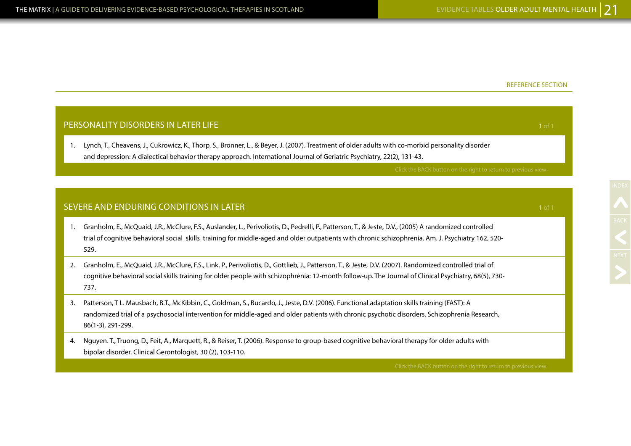NEXT

|                | PERSONALITY DISORDERS IN LATER LIFE                                                                                                                                                                                                                                                                                       | 1 of 1 |
|----------------|---------------------------------------------------------------------------------------------------------------------------------------------------------------------------------------------------------------------------------------------------------------------------------------------------------------------------|--------|
| 1.             | Lynch, T., Cheavens, J., Cukrowicz, K., Thorp, S., Bronner, L., & Beyer, J. (2007). Treatment of older adults with co-morbid personality disorder<br>and depression: A dialectical behavior therapy approach. International Journal of Geriatric Psychiatry, 22(2), 131-43.                                               |        |
|                | Click the BACK button on the right to return to previous view                                                                                                                                                                                                                                                             |        |
|                |                                                                                                                                                                                                                                                                                                                           |        |
|                | SEVERE AND ENDURING CONDITIONS IN LATER                                                                                                                                                                                                                                                                                   | 1 of 1 |
| $\mathbf{1}$ . | Granholm, E., McQuaid, J.R., McClure, F.S., Auslander, L., Perivoliotis, D., Pedrelli, P., Patterson, T., & Jeste, D.V., (2005) A randomized controlled<br>trial of cognitive behavioral social skills training for middle-aged and older outpatients with chronic schizophrenia. Am. J. Psychiatry 162, 520-<br>529.     |        |
| 2.             | Granholm, E., McQuaid, J.R., McClure, F.S., Link, P., Perivoliotis, D., Gottlieb, J., Patterson, T., & Jeste, D.V. (2007). Randomized controlled trial of<br>cognitive behavioral social skills training for older people with schizophrenia: 12-month follow-up. The Journal of Clinical Psychiatry, 68(5), 730-<br>737. |        |
| 3.             | Patterson, T L. Mausbach, B.T., McKibbin, C., Goldman, S., Bucardo, J., Jeste, D.V. (2006). Functional adaptation skills training (FAST): A<br>randomized trial of a psychosocial intervention for middle-aged and older patients with chronic psychotic disorders. Schizophrenia Research,<br>86(1-3), 291-299.          |        |
| 4.             | Nguyen. T., Truong, D., Feit, A., Marquett, R., & Reiser, T. (2006). Response to group-based cognitive behavioral therapy for older adults with<br>bipolar disorder. Clinical Gerontologist, 30 (2), 103-110.                                                                                                             |        |
|                | Click the BACK button on the right to return to previous view                                                                                                                                                                                                                                                             |        |
|                |                                                                                                                                                                                                                                                                                                                           |        |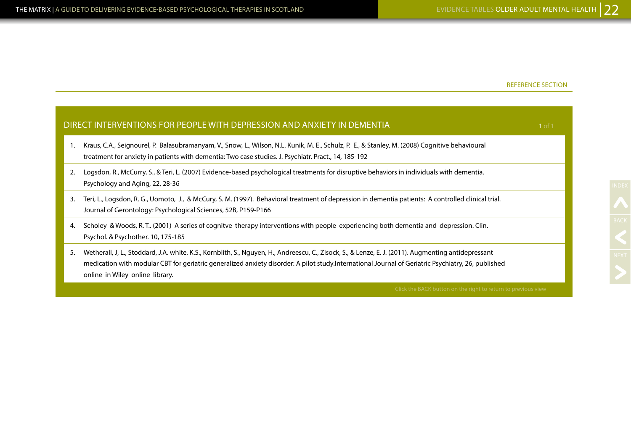|    | DIRECT INTERVENTIONS FOR PEOPLE WITH DEPRESSION AND ANXIETY IN DEMENTIA<br>1 of 1                                                                                                                                                                                                                                                             |  |
|----|-----------------------------------------------------------------------------------------------------------------------------------------------------------------------------------------------------------------------------------------------------------------------------------------------------------------------------------------------|--|
|    | Kraus, C.A., Seignourel, P. Balasubramanyam, V., Snow, L., Wilson, N.L. Kunik, M. E., Schulz, P. E., & Stanley, M. (2008) Cognitive behavioural<br>treatment for anxiety in patients with dementia: Two case studies. J. Psychiatr. Pract., 14, 185-192                                                                                       |  |
| 2. | Logsdon, R., McCurry, S., & Teri, L. (2007) Evidence-based psychological treatments for disruptive behaviors in individuals with dementia.<br>Psychology and Aging, 22, 28-36                                                                                                                                                                 |  |
| 3. | Teri, L., Logsdon, R. G., Uomoto, J., & McCury, S. M. (1997). Behavioral treatment of depression in dementia patients: A controlled clinical trial.<br>Journal of Gerontology: Psychological Sciences, 52B, P159-P166                                                                                                                         |  |
| 4. | Scholey & Woods, R.T (2001) A series of cognitve therapy interventions with people experiencing both dementia and depression. Clin.<br>Psychol. & Psychother. 10, 175-185                                                                                                                                                                     |  |
| 5. | Wetherall, J, L., Stoddard, J.A. white, K.S., Kornblith, S., Nguyen, H., Andreescu, C., Zisock, S., & Lenze, E. J. (2011). Augmenting antidepressant<br>medication with modular CBT for geriatric generalized anxiety disorder: A pilot study.International Journal of Geriatric Psychiatry, 26, published<br>online in Wiley online library. |  |
|    | Click the BACK button on the right to return to previous view                                                                                                                                                                                                                                                                                 |  |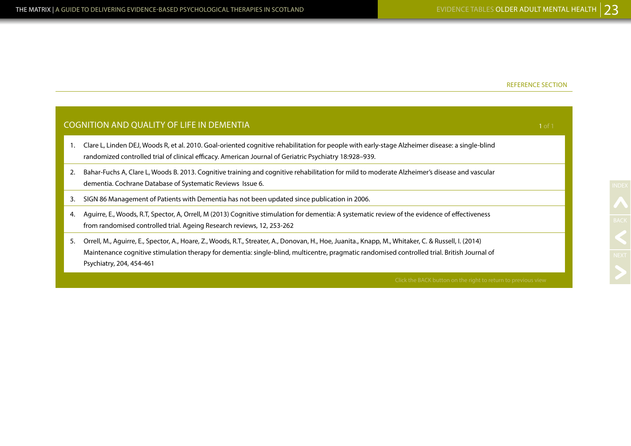|    | <b>COGNITION AND QUALITY OF LIFE IN DEMENTIA</b>                                                                                                                                                                                                                                                                                 |  |  |
|----|----------------------------------------------------------------------------------------------------------------------------------------------------------------------------------------------------------------------------------------------------------------------------------------------------------------------------------|--|--|
|    | Clare L, Linden DEJ, Woods R, et al. 2010. Goal-oriented cognitive rehabilitation for people with early-stage Alzheimer disease: a single-blind<br>randomized controlled trial of clinical efficacy. American Journal of Geriatric Psychiatry 18:928-939.                                                                        |  |  |
| 2. | Bahar-Fuchs A, Clare L, Woods B. 2013. Cognitive training and cognitive rehabilitation for mild to moderate Alzheimer's disease and vascular<br>dementia. Cochrane Database of Systematic Reviews Issue 6.                                                                                                                       |  |  |
| 3. | SIGN 86 Management of Patients with Dementia has not been updated since publication in 2006.                                                                                                                                                                                                                                     |  |  |
| 4. | Aguirre, E., Woods, R.T., Spector, A., Orrell, M (2013) Cognitive stimulation for dementia: A systematic review of the evidence of effectiveness<br>from randomised controlled trial. Ageing Research reviews, 12, 253-262                                                                                                       |  |  |
| 5. | Orrell, M., Aguirre, E., Spector, A., Hoare, Z., Woods, R.T., Streater, A., Donovan, H., Hoe, Juanita., Knapp, M., Whitaker, C. & Russell, I. (2014)<br>Maintenance cognitive stimulation therapy for dementia: single-blind, multicentre, pragmatic randomised controlled trial. British Journal of<br>Psychiatry, 204, 454-461 |  |  |
|    | Click the RACK button on the right to return to previous view                                                                                                                                                                                                                                                                    |  |  |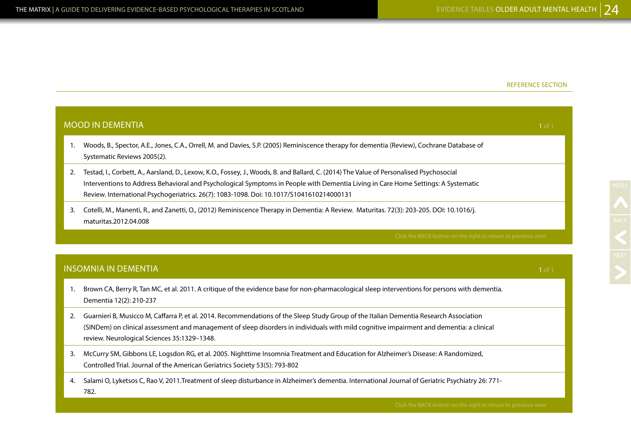|    | <b>MOOD IN DEMENTIA</b><br>1 of 1                                                                                                                                                                                                                                                                                                                                        |        |  |
|----|--------------------------------------------------------------------------------------------------------------------------------------------------------------------------------------------------------------------------------------------------------------------------------------------------------------------------------------------------------------------------|--------|--|
| 1. | Woods, B., Spector, A.E., Jones, C.A., Orrell, M. and Davies, S.P. (2005) Reminiscence therapy for dementia (Review), Cochrane Database of<br>Systematic Reviews 2005(2).                                                                                                                                                                                                |        |  |
| 2. | Testad, I., Corbett, A., Aarsland, D., Lexow, K.O., Fossey, J., Woods, B. and Ballard, C. (2014) The Value of Personalised Psychosocial<br>Interventions to Address Behavioral and Psychological Symptoms in People with Dementia Living in Care Home Settings: A Systematic<br>Review. International Psychogeriatrics. 26(7): 1083-1098. Doi: 10.1017/S1041610214000131 |        |  |
| 3. | Cotelli, M., Manenti, R., and Zanetti, O., (2012) Reminiscence Therapy in Dementia: A Review. Maturitas. 72(3): 203-205. DOI: 10.1016/j.<br>maturitas.2012.04.008                                                                                                                                                                                                        |        |  |
|    | Click the BACK button on the right to return to previous view                                                                                                                                                                                                                                                                                                            |        |  |
|    |                                                                                                                                                                                                                                                                                                                                                                          |        |  |
|    | <b>INSOMNIA IN DEMENTIA</b>                                                                                                                                                                                                                                                                                                                                              | 1 of 1 |  |
| 1. | Brown CA, Berry R, Tan MC, et al. 2011. A critique of the evidence base for non-pharmacological sleep interventions for persons with dementia.<br>Dementia 12(2): 210-237                                                                                                                                                                                                |        |  |
| 2. | Guarnieri B, Musicco M, Caffarra P, et al. 2014. Recommendations of the Sleep Study Group of the Italian Dementia Research Association<br>(SINDem) on clinical assessment and management of sleep disorders in individuals with mild cognitive impairment and dementia: a clinical<br>review. Neurological Sciences 35:1329-1348.                                        |        |  |
| 3. | McCurry SM, Gibbons LE, Logsdon RG, et al. 2005. Nighttime Insomnia Treatment and Education for Alzheimer's Disease: A Randomized,<br>Controlled Trial. Journal of the American Geriatrics Society 53(5): 793-802                                                                                                                                                        |        |  |

4. Salami O, Lyketsos C, Rao V, 2011.Treatment of sleep disturbance in Alzheimer's dementia. International Journal of Geriatric Psychiatry 26: 771- 782.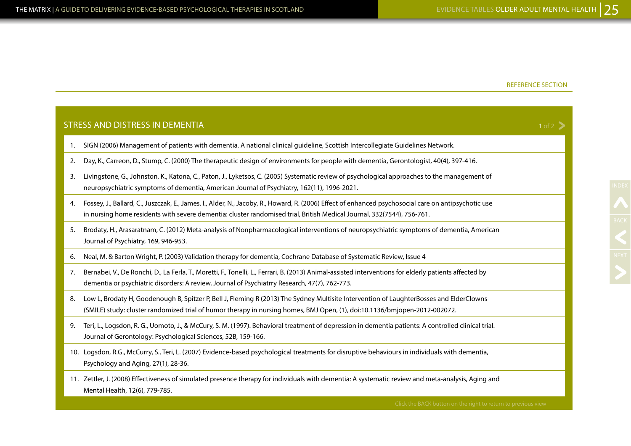|    | <b>STRESS AND DISTRESS IN DEMENTIA</b>                                                                                                                                                                                                                                         | $1 of 2$ > |
|----|--------------------------------------------------------------------------------------------------------------------------------------------------------------------------------------------------------------------------------------------------------------------------------|------------|
| 1. | SIGN (2006) Management of patients with dementia. A national clinical quideline, Scottish Intercollegiate Guidelines Network.                                                                                                                                                  |            |
| 2. | Day, K., Carreon, D., Stump, C. (2000) The therapeutic design of environments for people with dementia, Gerontologist, 40(4), 397-416.                                                                                                                                         |            |
| 3. | Livingstone, G., Johnston, K., Katona, C., Paton, J., Lyketsos, C. (2005) Systematic review of psychological approaches to the management of<br>neuropsychiatric symptoms of dementia, American Journal of Psychiatry, 162(11), 1996-2021.                                     |            |
| 4. | Fossey, J., Ballard, C., Juszczak, E., James, I., Alder, N., Jacoby, R., Howard, R. (2006) Effect of enhanced psychosocial care on antipsychotic use<br>in nursing home residents with severe dementia: cluster randomised trial, British Medical Journal, 332(7544), 756-761. |            |
| 5. | Brodaty, H., Arasaratnam, C. (2012) Meta-analysis of Nonpharmacological interventions of neuropsychiatric symptoms of dementia, American<br>Journal of Psychiatry, 169, 946-953.                                                                                               |            |
| 6. | Neal, M. & Barton Wright, P. (2003) Validation therapy for dementia, Cochrane Database of Systematic Review, Issue 4                                                                                                                                                           |            |
| 7. | Bernabei, V., De Ronchi, D., La Ferla, T., Moretti, F., Tonelli, L., Ferrari, B. (2013) Animal-assisted interventions for elderly patients affected by<br>dementia or psychiatric disorders: A review, Journal of Psychiatrry Research, 47(7), 762-773.                        |            |
| 8. | Low L, Brodaty H, Goodenough B, Spitzer P, Bell J, Fleming R (2013) The Sydney Multisite Intervention of LaughterBosses and ElderClowns<br>(SMILE) study: cluster randomized trial of humor therapy in nursing homes, BMJ Open, (1), doi:10.1136/bmjopen-2012-002072.          |            |
| 9. | Teri, L., Logsdon, R. G., Uomoto, J., & McCury, S. M. (1997). Behavioral treatment of depression in dementia patients: A controlled clinical trial.<br>Journal of Gerontology: Psychological Sciences, 52B, 159-166.                                                           |            |
|    | 10. Logsdon, R.G., McCurry, S., Teri, L. (2007) Evidence-based psychological treatments for disruptive behaviours in individuals with dementia,<br>Psychology and Aging, 27(1), 28-36.                                                                                         |            |
|    | 11. Zettler, J. (2008) Effectiveness of simulated presence therapy for individuals with dementia: A systematic review and meta-analysis, Aging and<br>Mental Health, 12(6), 779-785.                                                                                           |            |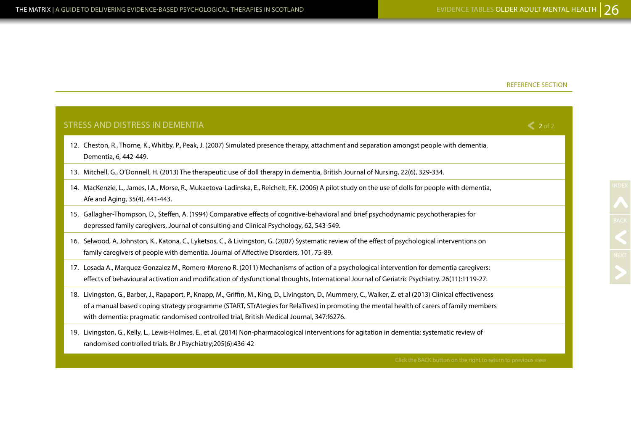| STRESS AND DISTRESS IN DEMENTIA                                                                                                                                                                                                                                                                                                                                                                      | $\leq 2$ of 2 |
|------------------------------------------------------------------------------------------------------------------------------------------------------------------------------------------------------------------------------------------------------------------------------------------------------------------------------------------------------------------------------------------------------|---------------|
| 12. Cheston, R., Thorne, K., Whitby, P., Peak, J. (2007) Simulated presence therapy, attachment and separation amongst people with dementia,<br>Dementia, 6, 442-449.                                                                                                                                                                                                                                |               |
| 13. Mitchell, G., O'Donnell, H. (2013) The therapeutic use of doll therapy in dementia, British Journal of Nursing, 22(6), 329-334.                                                                                                                                                                                                                                                                  |               |
| 14. MacKenzie, L., James, I.A., Morse, R., Mukaetova-Ladinska, E., Reichelt, F.K. (2006) A pilot study on the use of dolls for people with dementia,<br>Afe and Aging, 35(4), 441-443.                                                                                                                                                                                                               |               |
| 15. Gallagher-Thompson, D., Steffen, A. (1994) Comparative effects of cognitive-behavioral and brief psychodynamic psychotherapies for<br>depressed family caregivers, Journal of consulting and Clinical Psychology, 62, 543-549.                                                                                                                                                                   |               |
| 16. Selwood, A, Johnston, K., Katona, C., Lyketsos, C., & Livingston, G. (2007) Systematic review of the effect of psychological interventions on<br>family caregivers of people with dementia. Journal of Affective Disorders, 101, 75-89.                                                                                                                                                          |               |
| 17. Losada A., Marquez-Gonzalez M., Romero-Moreno R. (2011) Mechanisms of action of a psychological intervention for dementia caregivers:<br>effects of behavioural activation and modification of dysfunctional thoughts, International Journal of Geriatric Psychiatry. 26(11):1119-27.                                                                                                            |               |
| 18. Livingston, G., Barber, J., Rapaport, P., Knapp, M., Griffin, M., King, D., Livingston, D., Mummery, C., Walker, Z. et al (2013) Clinical effectiveness<br>of a manual based coping strategy programme (START, STrAtegies for RelaTives) in promoting the mental health of carers of family members<br>with dementia: pragmatic randomised controlled trial, British Medical Journal, 347:f6276. |               |
| 19. Livingston, G., Kelly, L., Lewis-Holmes, E., et al. (2014) Non-pharmacological interventions for agitation in dementia: systematic review of<br>randomised controlled trials. Br J Psychiatry;205(6):436-42                                                                                                                                                                                      |               |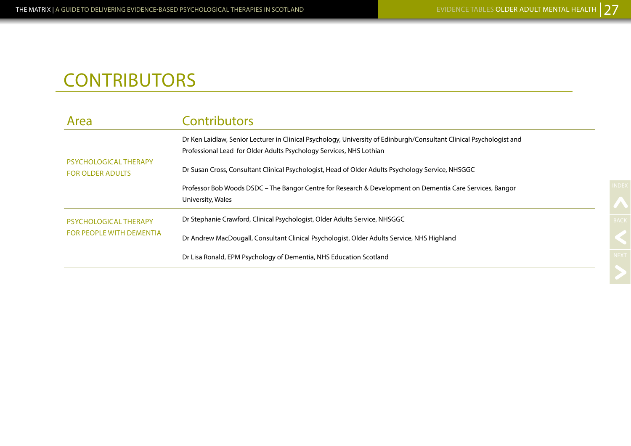# **CONTRIBUTORS**

| Area                                             | <b>Contributors</b>                                                                                                                                                                         |
|--------------------------------------------------|---------------------------------------------------------------------------------------------------------------------------------------------------------------------------------------------|
|                                                  | Dr Ken Laidlaw, Senior Lecturer in Clinical Psychology, University of Edinburgh/Consultant Clinical Psychologist and<br>Professional Lead for Older Adults Psychology Services, NHS Lothian |
| PSYCHOLOGICAL THERAPY<br><b>FOR OLDER ADULTS</b> | Dr Susan Cross, Consultant Clinical Psychologist, Head of Older Adults Psychology Service, NHSGGC                                                                                           |
|                                                  | Professor Bob Woods DSDC – The Bangor Centre for Research & Development on Dementia Care Services, Bangor<br>University, Wales                                                              |
| PSYCHOLOGICAL THERAPY                            | Dr Stephanie Crawford, Clinical Psychologist, Older Adults Service, NHSGGC                                                                                                                  |
| <b>FOR PEOPLE WITH DEMENTIA</b>                  | Dr Andrew MacDougall, Consultant Clinical Psychologist, Older Adults Service, NHS Highland                                                                                                  |
|                                                  | Dr Lisa Ronald, EPM Psychology of Dementia, NHS Education Scotland                                                                                                                          |